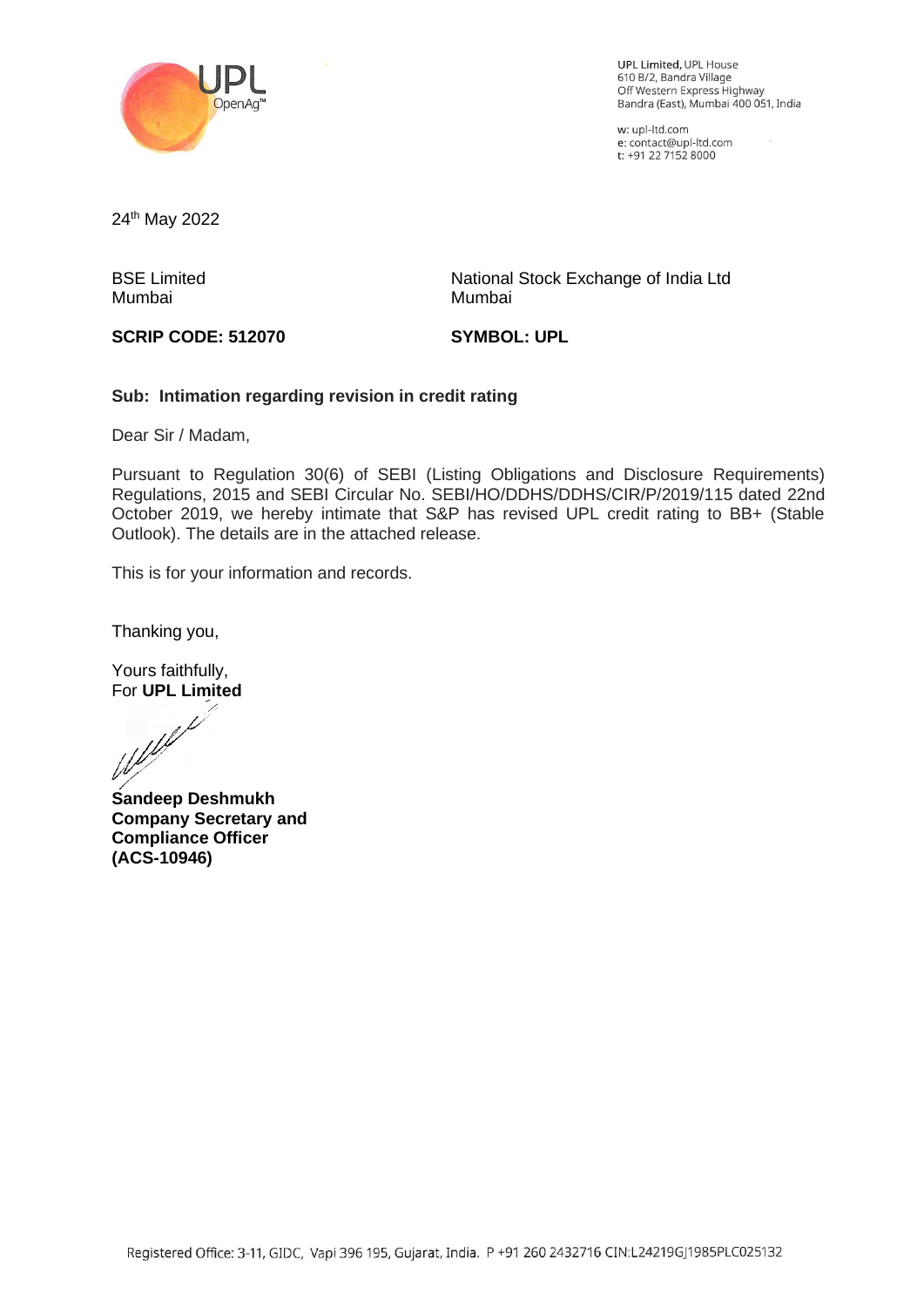

UPL Limited, UPL House 610 B/2, Bandra Village ofo Brz, Bahura village<br>Off Western Express Highway<br>Bandra (East), Mumbai 400 051, India

w: upl-ltd.com e: contact@upl-ltd.com t: +91 22 7152 8000

24<sup>th</sup> May 2022

BSE Limited Mumbai

National Stock Exchange of India Ltd Mumbai

## **SCRIP CODE: 512070**

**SYMBOL: UPL**

## **Sub: Intimation regarding revision in credit rating**

Dear Sir / Madam,

Pursuant to Regulation 30(6) of SEBI (Listing Obligations and Disclosure Requirements) Regulations, 2015 and SEBI Circular No. SEBI/HO/DDHS/DDHS/CIR/P/2019/115 dated 22nd October 2019, we hereby intimate that S&P has revised UPL credit rating to BB+ (Stable Outlook). The details are in the attached release.

This is for your information and records.

Thanking you,

Yours faithfully,

For **UPL Limited**<br>Weblink

**Sandeep Deshmukh Company Secretary and Compliance Officer (ACS-10946)**